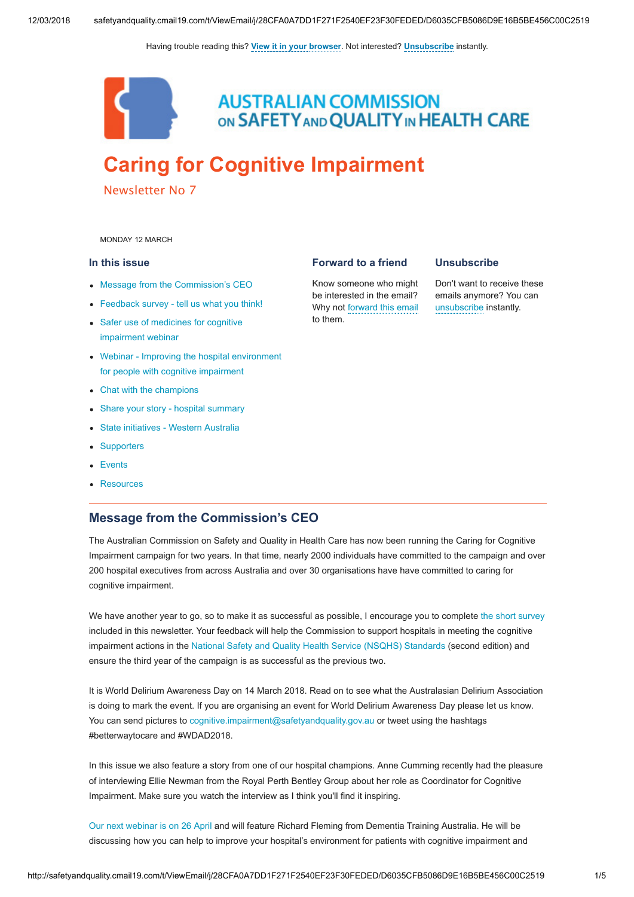Having trouble reading this? [View it in your browser](http://safetyandquality.createsend1.com/t/j-e-bjlhra-yhukqlds-r/). Not interested? [Unsubscribe](http://safetyandquality.createsend1.com/t/j-u-bjlhra-yhukqlds-y/) instantly.



**AUSTRALIAN COMMISSION** ON SAFETY AND QUALITY IN HEALTH CARE

# [Caring for Cognitive Impairment](http://safetyandquality.createsend1.com/t/j-l-bjlhra-yhukqlds-i/)

Newsletter No 7

<span id="page-0-1"></span>MONDAY 12 MARCH

#### In this issue

- [Message from the Commission's CEO](#page-0-0)
- [Feedback survey tell us what you think!](#page-1-0)
- [Safer use of medicines for cognitive](#page-1-1) impairment webinar
- [Webinar Improving the hospital environment](#page-1-2) for people with cognitive impairment
- [Chat with the champions](#page-2-0)
- [Share your story hospital summary](#page-2-1)
- [State initiatives Western Australia](#page-2-2)
- [Supporters](#page-3-0)
- [Events](#page-3-1)
- [Resources](#page-4-0)

#### <span id="page-0-0"></span>Message from the Commission's CEO

The Australian Commission on Safety and Quality in Health Care has now been running the Caring for Cognitive Impairment campaign for two years. In that time, nearly 2000 individuals have committed to the campaign and over 200 hospital executives from across Australia and over 30 organisations have have committed to caring for cognitive impairment.

We have another year to go, so to make it as successful as possible, I encourage you to complete [the short survey](http://safetyandquality.createsend1.com/t/j-l-bjlhra-yhukqlds-d/) included in this newsletter. Your feedback will help the Commission to support hospitals in meeting the cognitive impairment actions in the [National Safety and Quality Health Service \(NSQHS\) Standards](http://safetyandquality.createsend1.com/t/j-l-bjlhra-yhukqlds-h/) (second edition) and ensure the third year of the campaign is as successful as the previous two.

It is World Delirium Awareness Day on 14 March 2018. Read on to see what the Australasian Delirium Association is doing to mark the event. If you are organising an event for World Delirium Awareness Day please let us know. You can send pictures to [cognitive.impairment@safetyandquality.gov.au](mailto:cognitive.impairment@safetyandquality.gov.au) or tweet using the hashtags #betterwaytocare and #WDAD2018.

In this issue we also feature a story from one of our hospital champions. Anne Cumming recently had the pleasure of interviewing Ellie Newman from the Royal Perth Bentley Group about her role as Coordinator for Cognitive Impairment. Make sure you watch the interview as I think you'll find it inspiring.

[Our next webinar is on 26 April](http://safetyandquality.createsend1.com/t/j-l-bjlhra-yhukqlds-k/) and will feature Richard Fleming from Dementia Training Australia. He will be discussing how you can help to improve your hospital's environment for patients with cognitive impairment and

#### Forward to a friend

Know someone who might be interested in the email? Why not [forward this email](http://safetyandquality.forwardtomyfriend.com/j-yhukqlds-67215553-bjlhra-l-j) to them.

#### **Unsubscribe**

Don't want to receive these emails anymore? You can [unsubscribe](http://safetyandquality.createsend1.com/t/j-u-bjlhra-yhukqlds-t/) instantly.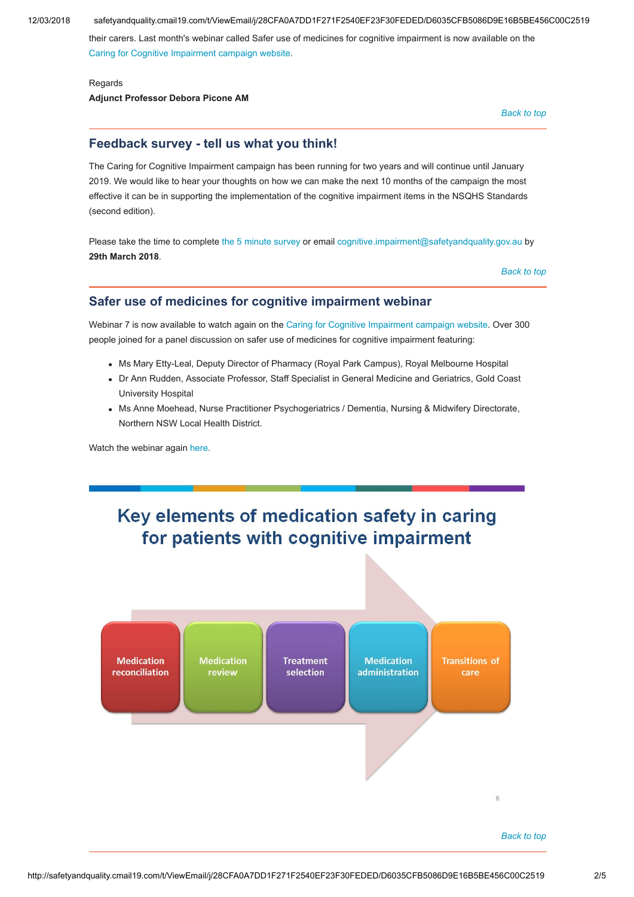12/03/2018 safetyandquality.cmail19.com/t/ViewEmail/j/28CFA0A7DD1F271F2540EF23F30FEDED/D6035CFB5086D9E16B5BE456C00C2519

their carers. Last month's webinar called Safer use of medicines for cognitive impairment is now available on the [Caring for Cognitive Impairment campaign website](http://safetyandquality.createsend1.com/t/j-l-bjlhra-yhukqlds-u/).

#### Regards Adjunct Professor Debora Picone AM

[Back to top](#page-0-1)

## <span id="page-1-0"></span>Feedback survey - tell us what you think!

The Caring for Cognitive Impairment campaign has been running for two years and will continue until January 2019. We would like to hear your thoughts on how we can make the next 10 months of the campaign the most effective it can be in supporting the implementation of the cognitive impairment items in the NSQHS Standards (second edition).

Please take the time to complete [the 5 minute survey](http://safetyandquality.createsend1.com/t/j-l-bjlhra-yhukqlds-o/) or email [cognitive.impairment@safetyandquality.gov.au](mailto:cognitive.impairment@safetyandquality.gov.au) by 29th March 2018.

[Back to top](#page-0-1)

## <span id="page-1-1"></span>Safer use of medicines for cognitive impairment webinar

Webinar 7 is now available to watch again on the [Caring for Cognitive Impairment campaign website.](http://safetyandquality.createsend1.com/t/j-l-bjlhra-yhukqlds-b/) Over 300 people joined for a panel discussion on safer use of medicines for cognitive impairment featuring:

- Ms Mary Etty-Leal, Deputy Director of Pharmacy (Royal Park Campus), Royal Melbourne Hospital
- Dr Ann Rudden, Associate Professor, Staff Specialist in General Medicine and Geriatrics, Gold Coast University Hospital
- Ms Anne Moehead, Nurse Practitioner Psychogeriatrics / Dementia, Nursing & Midwifery Directorate, Northern NSW Local Health District.

Watch the webinar again [here](http://safetyandquality.createsend1.com/t/j-l-bjlhra-yhukqlds-n/).



<span id="page-1-2"></span>

#### [Back to top](#page-0-1)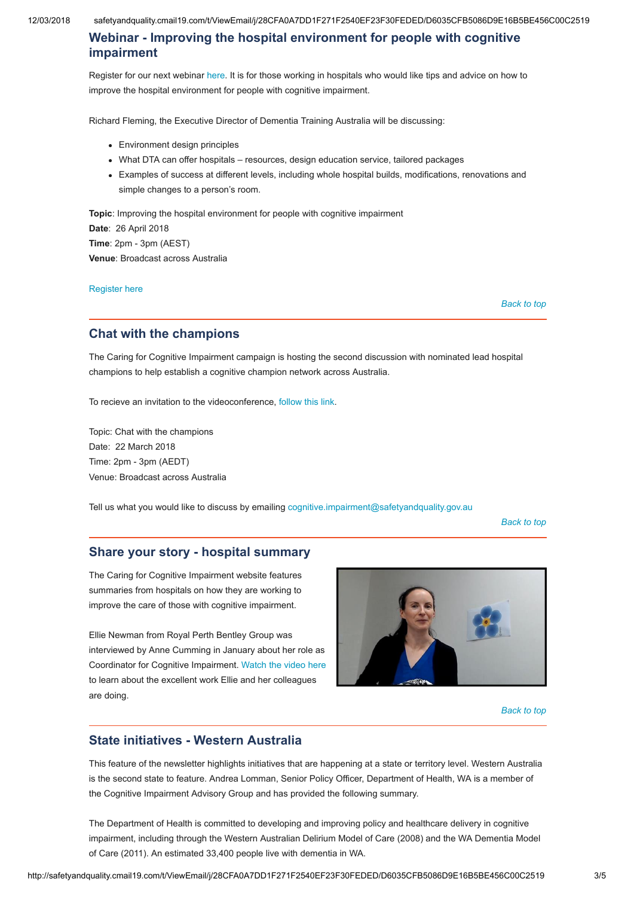12/03/2018 safetyandquality.cmail19.com/t/ViewEmail/j/28CFA0A7DD1F271F2540EF23F30FEDED/D6035CFB5086D9E16B5BE456C00C2519

## Webinar - Improving the hospital environment for people with cognitive impairment

Register for our next webinar [here.](http://safetyandquality.createsend1.com/t/j-l-bjlhra-yhukqlds-x/) It is for those working in hospitals who would like tips and advice on how to improve the hospital environment for people with cognitive impairment.

Richard Fleming, the Executive Director of Dementia Training Australia will be discussing:

- Environment design principles
- What DTA can offer hospitals resources, design education service, tailored packages
- Examples of success at different levels, including whole hospital builds, modifications, renovations and simple changes to a person's room.

Topic: Improving the hospital environment for people with cognitive impairment Date: 26 April 2018 Time: 2pm - 3pm (AEST) Venue: Broadcast across Australia

[Register here](http://safetyandquality.createsend1.com/t/j-l-bjlhra-yhukqlds-m/)

[Back to top](#page-0-1)

## <span id="page-2-0"></span>Chat with the champions

The Caring for Cognitive Impairment campaign is hosting the second discussion with nominated lead hospital champions to help establish a cognitive champion network across Australia.

To recieve an invitation to the videoconference, [follow this link.](mailto:cognitive.impairment@safetyandquality.gov.au?body=Please%20send%20me%20an%20invitation%20to%20the%20Chat%20with%20the%20champions%2022%20March%202018.%0A%0AName%3A%0ARole%3A%0AHospital%3A%0AEmail%3A%0A%0ATopics%20I%20would%20like%20to%20be%20discussed%3A&subject=Chat%20with%20the%20champions%2022%20March%202018)

Topic: Chat with the champions Date: 22 March 2018 Time: 2pm - 3pm (AEDT) Venue: Broadcast across Australia

Tell us what you would like to discuss by emailing [cognitive.impairment@safetyandquality.gov.au](mailto:cognitive.impairment@safetyandquality.gov.au?body=Please%20add%20me%20to%20the%20invite%20list%20for%20Chat%20with%20the%20Champions.%0AName%3A%0AEmail%3A%0AHospital%3A&subject=Chat%20with%20the%20champions)

[Back to top](#page-0-1)

#### <span id="page-2-1"></span>Share your story - hospital summary

The Caring for Cognitive Impairment website features summaries from hospitals on how they are working to improve the care of those with cognitive impairment.

Ellie Newman from Royal Perth Bentley Group was interviewed by Anne Cumming in January about her role as Coordinator for Cognitive Impairment. [Watch the video here](http://safetyandquality.createsend1.com/t/j-l-bjlhra-yhukqlds-q/) to learn about the excellent work Ellie and her colleagues are doing.



[Back to top](#page-0-1)

## <span id="page-2-2"></span>State initiatives - Western Australia

This feature of the newsletter highlights initiatives that are happening at a state or territory level. Western Australia is the second state to feature. Andrea Lomman, Senior Policy Officer, Department of Health, WA is a member of the Cognitive Impairment Advisory Group and has provided the following summary.

The Department of Health is committed to developing and improving policy and healthcare delivery in cognitive impairment, including through the Western Australian Delirium Model of Care (2008) and the WA Dementia Model of Care (2011). An estimated 33,400 people live with dementia in WA.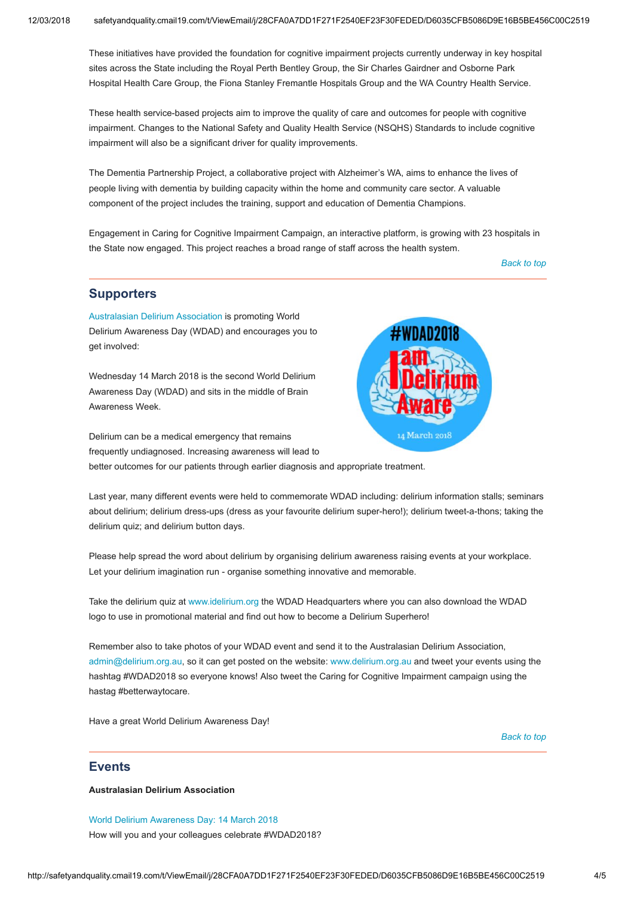These initiatives have provided the foundation for cognitive impairment projects currently underway in key hospital sites across the State including the Royal Perth Bentley Group, the Sir Charles Gairdner and Osborne Park Hospital Health Care Group, the Fiona Stanley Fremantle Hospitals Group and the WA Country Health Service.

These health service-based projects aim to improve the quality of care and outcomes for people with cognitive impairment. Changes to the National Safety and Quality Health Service (NSQHS) Standards to include cognitive impairment will also be a significant driver for quality improvements.

The Dementia Partnership Project, a collaborative project with Alzheimer's WA, aims to enhance the lives of people living with dementia by building capacity within the home and community care sector. A valuable component of the project includes the training, support and education of Dementia Champions.

Engagement in Caring for Cognitive Impairment Campaign, an interactive platform, is growing with 23 hospitals in the State now engaged. This project reaches a broad range of staff across the health system.

[Back to top](#page-0-1)

### <span id="page-3-0"></span>**Supporters**

[Australasian Delirium Association](http://safetyandquality.createsend1.com/t/j-l-bjlhra-yhukqlds-a/) is promoting World Delirium Awareness Day (WDAD) and encourages you to get involved:

Wednesday 14 March 2018 is the second World Delirium Awareness Day (WDAD) and sits in the middle of Brain Awareness Week.

Delirium can be a medical emergency that remains frequently undiagnosed. Increasing awareness will lead to better outcomes for our patients through earlier diagnosis and appropriate treatment.



Last year, many different events were held to commemorate WDAD including: delirium information stalls; seminars about delirium; delirium dress-ups (dress as your favourite delirium super-hero!); delirium tweet-a-thons; taking the delirium quiz; and delirium button days.

Please help spread the word about delirium by organising delirium awareness raising events at your workplace. Let your delirium imagination run - organise something innovative and memorable.

Take the delirium quiz at [www.idelirium.org](http://safetyandquality.createsend1.com/t/j-l-bjlhra-yhukqlds-f/) the WDAD Headquarters where you can also download the WDAD logo to use in promotional material and find out how to become a Delirium Superhero!

Remember also to take photos of your WDAD event and send it to the Australasian Delirium Association, [admin@delirium.org.au](mailto:admin@delirium.org.au), so it can get posted on the website: [www.delirium.org.au](http://safetyandquality.createsend1.com/t/j-l-bjlhra-yhukqlds-z/) and tweet your events using the hashtag #WDAD2018 so everyone knows! Also tweet the Caring for Cognitive Impairment campaign using the hastag #betterwaytocare.

Have a great World Delirium Awareness Day!

[Back to top](#page-0-1)

#### <span id="page-3-1"></span>**Events**

Australasian Delirium Association

[World Delirium Awareness Day: 14 March 2018](http://safetyandquality.createsend1.com/t/j-l-bjlhra-yhukqlds-v/)  How will you and your colleagues celebrate #WDAD2018?